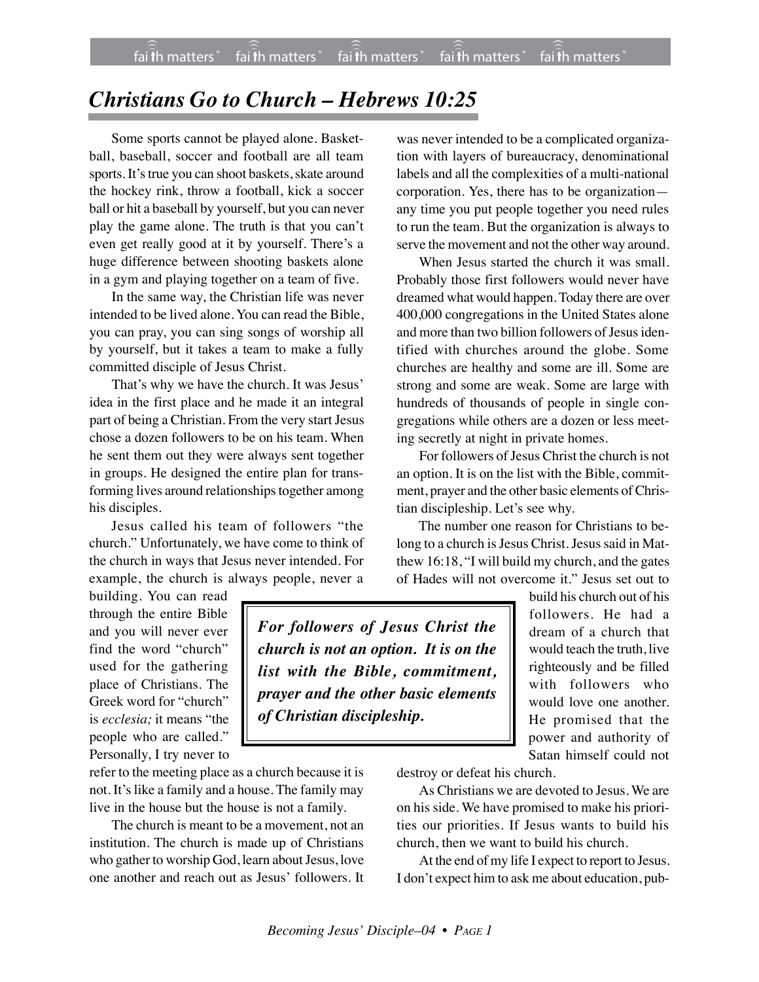## *Christians Go to Church – Hebrews 10:25*

Some sports cannot be played alone. Basketball, baseball, soccer and football are all team sports. It's true you can shoot baskets, skate around the hockey rink, throw a football, kick a soccer ball or hit a baseball by yourself, but you can never play the game alone. The truth is that you can't even get really good at it by yourself. There's a huge difference between shooting baskets alone in a gym and playing together on a team of five.

In the same way, the Christian life was never intended to be lived alone. You can read the Bible, you can pray, you can sing songs of worship all by yourself, but it takes a team to make a fully committed disciple of Jesus Christ.

That's why we have the church. It was Jesus' idea in the first place and he made it an integral part of being a Christian. From the very start Jesus chose a dozen followers to be on his team. When he sent them out they were always sent together in groups. He designed the entire plan for transforming lives around relationships together among his disciples.

Jesus called his team of followers "the church." Unfortunately, we have come to think of the church in ways that Jesus never intended. For example, the church is always people, never a

building. You can read through the entire Bible and you will never ever find the word "church" used for the gathering place of Christians. The Greek word for "church" is *ecclesia;* it means "the people who are called." Personally, I try never to

refer to the meeting place as a church because it is not. It's like a family and a house. The family may live in the house but the house is not a family.

The church is meant to be a movement, not an institution. The church is made up of Christians who gather to worship God, learn about Jesus, love one another and reach out as Jesus' followers. It

was never intended to be a complicated organization with layers of bureaucracy, denominational labels and all the complexities of a multi-national corporation. Yes, there has to be organization any time you put people together you need rules to run the team. But the organization is always to serve the movement and not the other way around.

When Jesus started the church it was small. Probably those first followers would never have dreamed what would happen. Today there are over 400,000 congregations in the United States alone and more than two billion followers of Jesus identified with churches around the globe. Some churches are healthy and some are ill. Some are strong and some are weak. Some are large with hundreds of thousands of people in single congregations while others are a dozen or less meeting secretly at night in private homes.

For followers of Jesus Christ the church is not an option. It is on the list with the Bible, commitment, prayer and the other basic elements of Christian discipleship. Let's see why.

The number one reason for Christians to belong to a church is Jesus Christ. Jesus said in Matthew 16:18, "I will build my church, and the gates of Hades will not overcome it." Jesus set out to

build his church out of his

Satan himself could not

*For followers of Jesus Christ the church is not an option. It is on the list with the Bible, commitment, prayer and the other basic elements of Christian discipleship.* followers. He had a dream of a church that would teach the truth, live righteously and be filled with followers who would love one another. He promised that the power and authority of

destroy or defeat his church.

As Christians we are devoted to Jesus. We are on his side. We have promised to make his priorities our priorities. If Jesus wants to build his church, then we want to build his church.

At the end of my life I expect to report to Jesus. I don't expect him to ask me about education, pub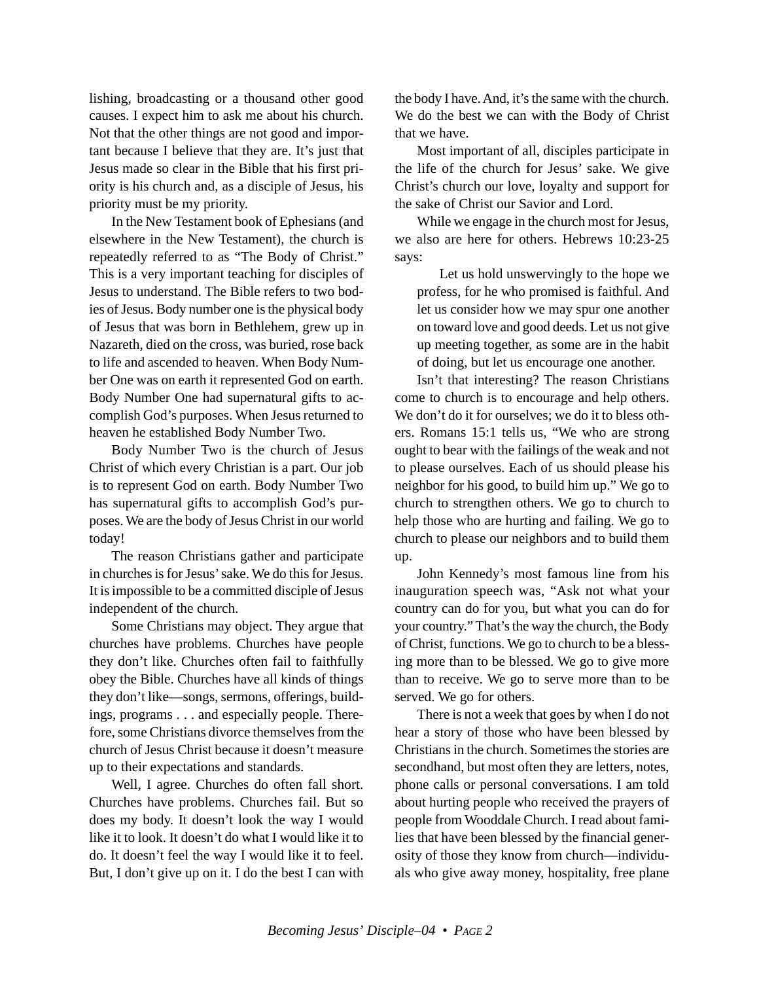lishing, broadcasting or a thousand other good causes. I expect him to ask me about his church. Not that the other things are not good and important because I believe that they are. It's just that Jesus made so clear in the Bible that his first priority is his church and, as a disciple of Jesus, his priority must be my priority.

In the New Testament book of Ephesians (and elsewhere in the New Testament), the church is repeatedly referred to as "The Body of Christ." This is a very important teaching for disciples of Jesus to understand. The Bible refers to two bodies of Jesus. Body number one is the physical body of Jesus that was born in Bethlehem, grew up in Nazareth, died on the cross, was buried, rose back to life and ascended to heaven. When Body Number One was on earth it represented God on earth. Body Number One had supernatural gifts to accomplish God's purposes. When Jesus returned to heaven he established Body Number Two.

Body Number Two is the church of Jesus Christ of which every Christian is a part. Our job is to represent God on earth. Body Number Two has supernatural gifts to accomplish God's purposes. We are the body of Jesus Christ in our world today!

The reason Christians gather and participate in churches is for Jesus' sake. We do this for Jesus. It is impossible to be a committed disciple of Jesus independent of the church.

Some Christians may object. They argue that churches have problems. Churches have people they don't like. Churches often fail to faithfully obey the Bible. Churches have all kinds of things they don't like—songs, sermons, offerings, buildings, programs . . . and especially people. Therefore, some Christians divorce themselves from the church of Jesus Christ because it doesn't measure up to their expectations and standards.

Well, I agree. Churches do often fall short. Churches have problems. Churches fail. But so does my body. It doesn't look the way I would like it to look. It doesn't do what I would like it to do. It doesn't feel the way I would like it to feel. But, I don't give up on it. I do the best I can with the body I have. And, it's the same with the church. We do the best we can with the Body of Christ that we have.

Most important of all, disciples participate in the life of the church for Jesus' sake. We give Christ's church our love, loyalty and support for the sake of Christ our Savior and Lord.

While we engage in the church most for Jesus, we also are here for others. Hebrews 10:23-25 says:

Let us hold unswervingly to the hope we profess, for he who promised is faithful. And let us consider how we may spur one another on toward love and good deeds. Let us not give up meeting together, as some are in the habit of doing, but let us encourage one another.

Isn't that interesting? The reason Christians come to church is to encourage and help others. We don't do it for ourselves; we do it to bless others. Romans 15:1 tells us, "We who are strong ought to bear with the failings of the weak and not to please ourselves. Each of us should please his neighbor for his good, to build him up." We go to church to strengthen others. We go to church to help those who are hurting and failing. We go to church to please our neighbors and to build them up.

John Kennedy's most famous line from his inauguration speech was, "Ask not what your country can do for you, but what you can do for your country." That's the way the church, the Body of Christ, functions. We go to church to be a blessing more than to be blessed. We go to give more than to receive. We go to serve more than to be served. We go for others.

There is not a week that goes by when I do not hear a story of those who have been blessed by Christians in the church. Sometimes the stories are secondhand, but most often they are letters, notes, phone calls or personal conversations. I am told about hurting people who received the prayers of people from Wooddale Church. I read about families that have been blessed by the financial generosity of those they know from church—individuals who give away money, hospitality, free plane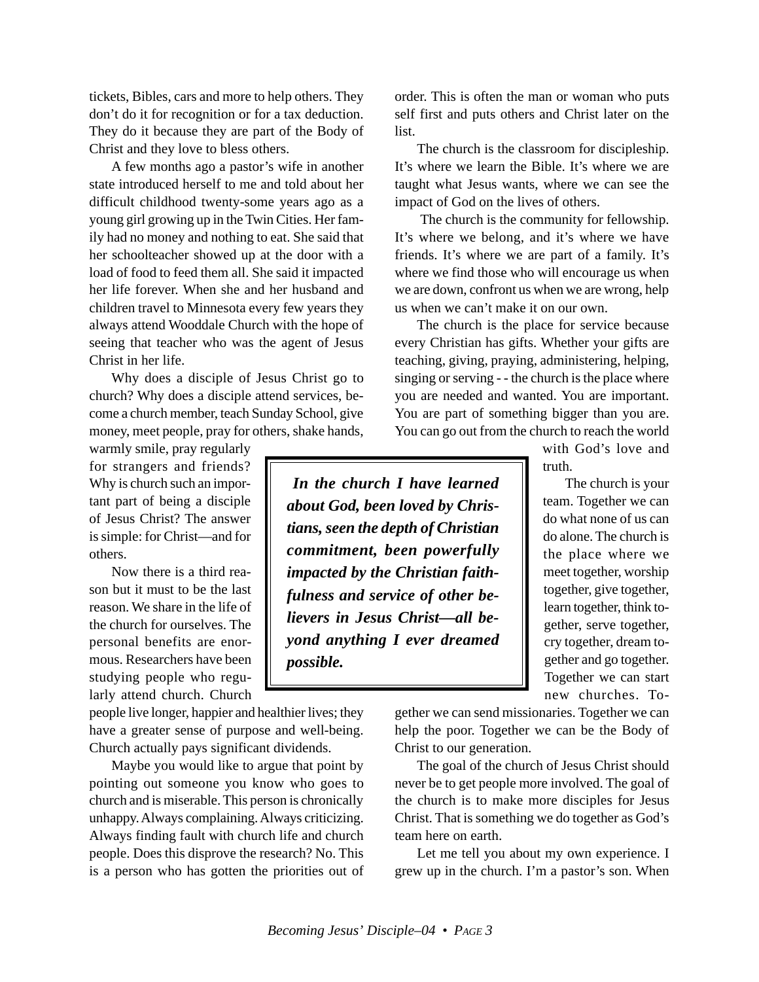tickets, Bibles, cars and more to help others. They don't do it for recognition or for a tax deduction. They do it because they are part of the Body of Christ and they love to bless others.

A few months ago a pastor's wife in another state introduced herself to me and told about her difficult childhood twenty-some years ago as a young girl growing up in the Twin Cities. Her family had no money and nothing to eat. She said that her schoolteacher showed up at the door with a load of food to feed them all. She said it impacted her life forever. When she and her husband and children travel to Minnesota every few years they always attend Wooddale Church with the hope of seeing that teacher who was the agent of Jesus Christ in her life.

Why does a disciple of Jesus Christ go to church? Why does a disciple attend services, become a church member, teach Sunday School, give money, meet people, pray for others, shake hands,

warmly smile, pray regularly for strangers and friends? Why is church such an important part of being a disciple of Jesus Christ? The answer is simple: for Christ—and for others.

Now there is a third reason but it must to be the last reason. We share in the life of the church for ourselves. The personal benefits are enormous. Researchers have been studying people who regularly attend church. Church

people live longer, happier and healthier lives; they have a greater sense of purpose and well-being. Church actually pays significant dividends.

Maybe you would like to argue that point by pointing out someone you know who goes to church and is miserable. This person is chronically unhappy. Always complaining. Always criticizing. Always finding fault with church life and church people. Does this disprove the research? No. This is a person who has gotten the priorities out of order. This is often the man or woman who puts self first and puts others and Christ later on the list.

The church is the classroom for discipleship. It's where we learn the Bible. It's where we are taught what Jesus wants, where we can see the impact of God on the lives of others.

 The church is the community for fellowship. It's where we belong, and it's where we have friends. It's where we are part of a family. It's where we find those who will encourage us when we are down, confront us when we are wrong, help us when we can't make it on our own.

The church is the place for service because every Christian has gifts. Whether your gifts are teaching, giving, praying, administering, helping, singing or serving - - the church is the place where you are needed and wanted. You are important. You are part of something bigger than you are. You can go out from the church to reach the world

> with God's love and truth.

*In the church I have learned about God, been loved by Christians, seen the depth of Christian commitment, been powerfully impacted by the Christian faithfulness and service of other believers in Jesus Christ—all beyond anything I ever dreamed possible.*

The church is your team. Together we can do what none of us can do alone. The church is the place where we meet together, worship together, give together, learn together, think together, serve together, cry together, dream together and go together. Together we can start new churches. To-

gether we can send missionaries. Together we can help the poor. Together we can be the Body of Christ to our generation.

The goal of the church of Jesus Christ should never be to get people more involved. The goal of the church is to make more disciples for Jesus Christ. That is something we do together as God's team here on earth.

Let me tell you about my own experience. I grew up in the church. I'm a pastor's son. When